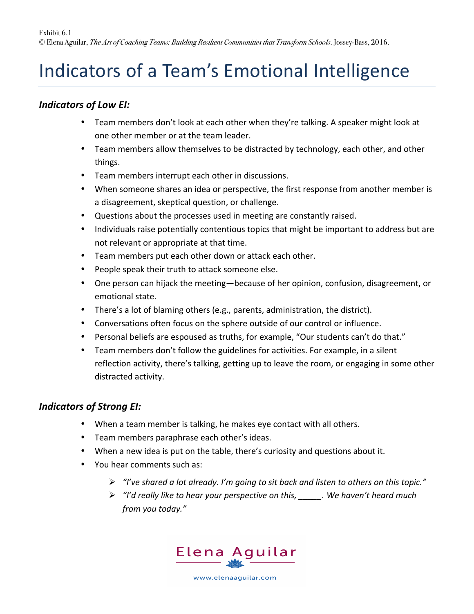## Indicators of a Team's Emotional Intelligence

## *Indicators of Low EI:*

- Team members don't look at each other when they're talking. A speaker might look at one other member or at the team leader.
- Team members allow themselves to be distracted by technology, each other, and other things.
- Team members interrupt each other in discussions.
- When someone shares an idea or perspective, the first response from another member is a disagreement, skeptical question, or challenge.
- Questions about the processes used in meeting are constantly raised.
- Individuals raise potentially contentious topics that might be important to address but are not relevant or appropriate at that time.
- Team members put each other down or attack each other.
- People speak their truth to attack someone else.
- One person can hijack the meeting—because of her opinion, confusion, disagreement, or emotional state.
- There's a lot of blaming others (e.g., parents, administration, the district).
- Conversations often focus on the sphere outside of our control or influence.
- Personal beliefs are espoused as truths, for example, "Our students can't do that."
- Team members don't follow the guidelines for activities. For example, in a silent reflection activity, there's talking, getting up to leave the room, or engaging in some other distracted activity.

## **Indicators of Strong EI:**

- When a team member is talking, he makes eye contact with all others.
- Team members paraphrase each other's ideas.
- When a new idea is put on the table, there's curiosity and questions about it.
- You hear comments such as:
	- $\triangleright$  "I've shared a lot already. I'm going to sit back and listen to others on this topic."
	- **►** "I'd really like to hear your perspective on this, We haven't heard much *from you today."*